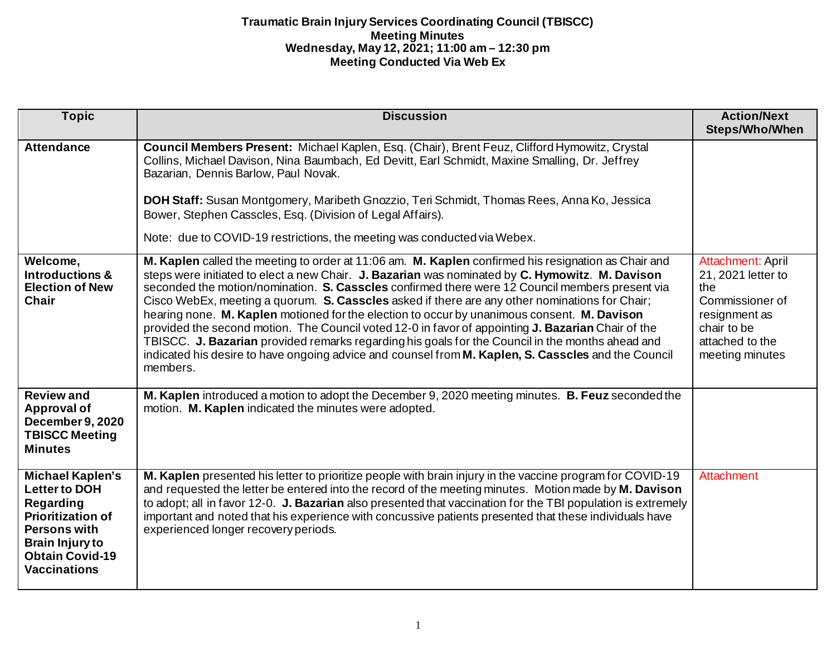| <b>Topic</b>                                                                                                                                                                               | <b>Discussion</b>                                                                                                                                                                                                                                                                                                                                                                                                                                                                                                                                                                                                                                                                                                                                                                                                                       | <b>Action/Next</b><br><b>Steps/Who/When</b>                                                                                             |
|--------------------------------------------------------------------------------------------------------------------------------------------------------------------------------------------|-----------------------------------------------------------------------------------------------------------------------------------------------------------------------------------------------------------------------------------------------------------------------------------------------------------------------------------------------------------------------------------------------------------------------------------------------------------------------------------------------------------------------------------------------------------------------------------------------------------------------------------------------------------------------------------------------------------------------------------------------------------------------------------------------------------------------------------------|-----------------------------------------------------------------------------------------------------------------------------------------|
| <b>Attendance</b>                                                                                                                                                                          | Council Members Present: Michael Kaplen, Esq. (Chair), Brent Feuz, Clifford Hymowitz, Crystal<br>Collins, Michael Davison, Nina Baumbach, Ed Devitt, Earl Schmidt, Maxine Smalling, Dr. Jeffrey<br>Bazarian, Dennis Barlow, Paul Novak.<br>DOH Staff: Susan Montgomery, Maribeth Gnozzio, Teri Schmidt, Thomas Rees, Anna Ko, Jessica<br>Bower, Stephen Casscles, Esq. (Division of Legal Affairs).<br>Note: due to COVID-19 restrictions, the meeting was conducted via Webex.                                                                                                                                                                                                                                                                                                                                                         |                                                                                                                                         |
| Welcome,<br><b>Introductions &amp;</b><br><b>Election of New</b><br><b>Chair</b>                                                                                                           | M. Kaplen called the meeting to order at 11:06 am. M. Kaplen confirmed his resignation as Chair and<br>steps were initiated to elect a new Chair. J. Bazarian was nominated by C. Hymowitz. M. Davison<br>seconded the motion/nomination. S. Casscles confirmed there were 12 Council members present via<br>Cisco WebEx, meeting a quorum. S. Casscles asked if there are any other nominations for Chair;<br>hearing none. M. Kaplen motioned for the election to occur by unanimous consent. M. Davison<br>provided the second motion. The Council voted 12-0 in favor of appointing J. Bazarian Chair of the<br>TBISCC. J. Bazarian provided remarks regarding his goals for the Council in the months ahead and<br>indicated his desire to have ongoing advice and counsel from M. Kaplen, S. Casscles and the Council<br>members. | Attachment: April<br>21, 2021 letter to<br>the<br>Commissioner of<br>resignment as<br>chair to be<br>attached to the<br>meeting minutes |
| <b>Review and</b><br>Approval of<br>December 9, 2020<br><b>TBISCC Meeting</b><br><b>Minutes</b>                                                                                            | M. Kaplen introduced a motion to adopt the December 9, 2020 meeting minutes. B. Feuz seconded the<br>motion. M. Kaplen indicated the minutes were adopted.                                                                                                                                                                                                                                                                                                                                                                                                                                                                                                                                                                                                                                                                              |                                                                                                                                         |
| <b>Michael Kaplen's</b><br><b>Letter to DOH</b><br>Regarding<br><b>Prioritization of</b><br><b>Persons with</b><br><b>Brain Injury to</b><br><b>Obtain Covid-19</b><br><b>Vaccinations</b> | M. Kaplen presented his letter to prioritize people with brain injury in the vaccine program for COVID-19<br>and requested the letter be entered into the record of the meeting minutes. Motion made by M. Davison<br>to adopt; all in favor 12-0. J. Bazarian also presented that vaccination for the TBI population is extremely<br>important and noted that his experience with concussive patients presented that these individuals have<br>experienced longer recovery periods.                                                                                                                                                                                                                                                                                                                                                    | Attachment                                                                                                                              |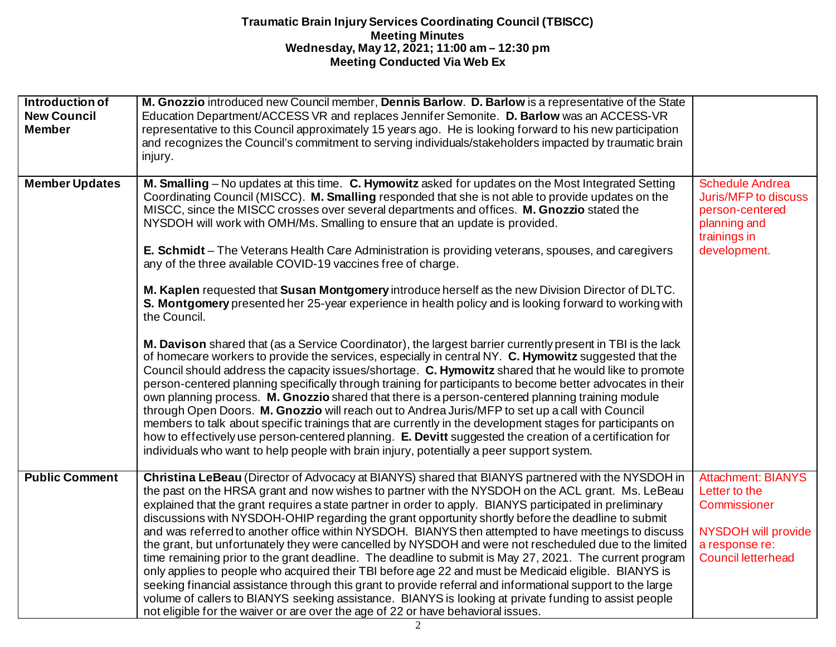| Introduction of<br><b>New Council</b><br><b>Member</b> | M. Gnozzio introduced new Council member, Dennis Barlow. D. Barlow is a representative of the State<br>Education Department/ACCESS VR and replaces Jennifer Semonite. D. Barlow was an ACCESS-VR<br>representative to this Council approximately 15 years ago. He is looking forward to his new participation<br>and recognizes the Council's commitment to serving individuals/stakeholders impacted by traumatic brain<br>injury.                                                                                                                                                                                                                                                                                                                                                                                                                                                                                                                                                                                                                                                                                                                                                                                                                                                                                                                                                                                                                                                                                                                                                                                                                                                                                                                                        |                                                                                                                                  |
|--------------------------------------------------------|----------------------------------------------------------------------------------------------------------------------------------------------------------------------------------------------------------------------------------------------------------------------------------------------------------------------------------------------------------------------------------------------------------------------------------------------------------------------------------------------------------------------------------------------------------------------------------------------------------------------------------------------------------------------------------------------------------------------------------------------------------------------------------------------------------------------------------------------------------------------------------------------------------------------------------------------------------------------------------------------------------------------------------------------------------------------------------------------------------------------------------------------------------------------------------------------------------------------------------------------------------------------------------------------------------------------------------------------------------------------------------------------------------------------------------------------------------------------------------------------------------------------------------------------------------------------------------------------------------------------------------------------------------------------------------------------------------------------------------------------------------------------------|----------------------------------------------------------------------------------------------------------------------------------|
| <b>Member Updates</b>                                  | M. Smalling - No updates at this time. C. Hymowitz asked for updates on the Most Integrated Setting<br>Coordinating Council (MISCC). M. Smalling responded that she is not able to provide updates on the<br>MISCC, since the MISCC crosses over several departments and offices. M. Gnozzio stated the<br>NYSDOH will work with OMH/Ms. Smalling to ensure that an update is provided.<br>E. Schmidt - The Veterans Health Care Administration is providing veterans, spouses, and caregivers<br>any of the three available COVID-19 vaccines free of charge.<br>M. Kaplen requested that Susan Montgomery introduce herself as the new Division Director of DLTC.<br>S. Montgomery presented her 25-year experience in health policy and is looking forward to working with<br>the Council.<br>M. Davison shared that (as a Service Coordinator), the largest barrier currently present in TBI is the lack<br>of homecare workers to provide the services, especially in central NY. C. Hymowitz suggested that the<br>Council should address the capacity issues/shortage. C. Hymowitz shared that he would like to promote<br>person-centered planning specifically through training for participants to become better advocates in their<br>own planning process. M. Gnozzio shared that there is a person-centered planning training module<br>through Open Doors. M. Gnozzio will reach out to Andrea Juris/MFP to set up a call with Council<br>members to talk about specific trainings that are currently in the development stages for participants on<br>how to effectively use person-centered planning. E. Devitt suggested the creation of a certification for<br>individuals who want to help people with brain injury, potentially a peer support system. | <b>Schedule Andrea</b><br><b>Juris/MFP to discuss</b><br>person-centered<br>planning and<br>trainings in<br>development.         |
| <b>Public Comment</b>                                  | Christina LeBeau (Director of Advocacy at BIANYS) shared that BIANYS partnered with the NYSDOH in<br>the past on the HRSA grant and now wishes to partner with the NYSDOH on the ACL grant. Ms. LeBeau<br>explained that the grant requires a state partner in order to apply. BIANYS participated in preliminary<br>discussions with NYSDOH-OHIP regarding the grant opportunity shortly before the deadline to submit<br>and was referred to another office within NYSDOH. BIANYS then attempted to have meetings to discuss<br>the grant, but unfortunately they were cancelled by NYSDOH and were not rescheduled due to the limited<br>time remaining prior to the grant deadline. The deadline to submit is May 27, 2021. The current program<br>only applies to people who acquired their TBI before age 22 and must be Medicaid eligible. BIANYS is<br>seeking financial assistance through this grant to provide referral and informational support to the large<br>volume of callers to BIANYS seeking assistance. BIANYS is looking at private funding to assist people<br>not eligible for the waiver or are over the age of 22 or have behavioral issues.                                                                                                                                                                                                                                                                                                                                                                                                                                                                                                                                                                                                     | <b>Attachment: BIANYS</b><br>Letter to the<br>Commissioner<br>NYSDOH will provide<br>a response re:<br><b>Council letterhead</b> |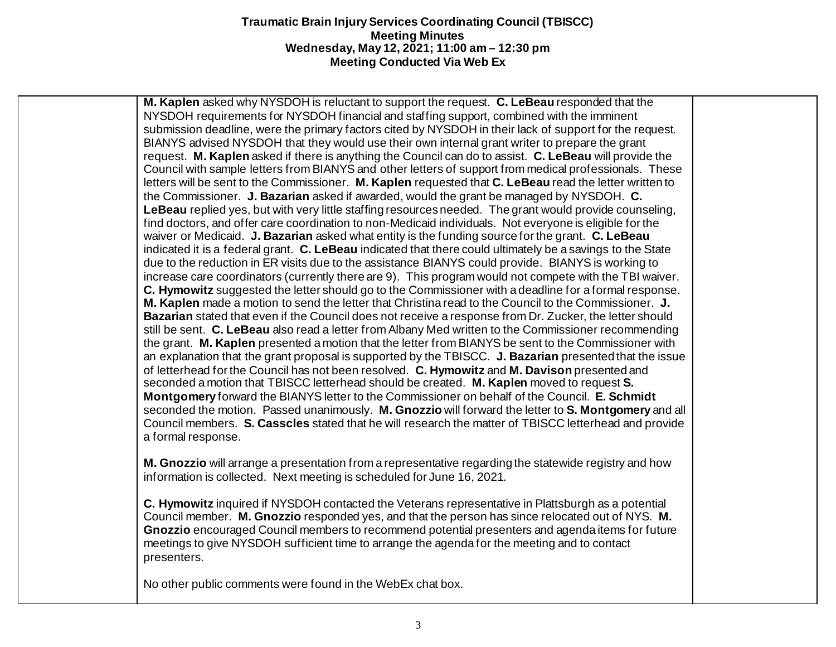**M. Kaplen** asked why NYSDOH is reluctant to support the request. **C. LeBeau** responded that the NYSDOH requirements for NYSDOH financial and staffing support, combined with the imminent submission deadline, were the primary factors cited by NYSDOH in their lack of support for the request. BIANYS advised NYSDOH that they would use their own internal grant writer to prepare the grant request. **M. Kaplen** asked if there is anything the Council can do to assist. **C. LeBeau** will provide the Council with sample letters from BIANYS and other letters of support from medical professionals. These letters will be sent to the Commissioner. **M. Kaplen** requested that **C. LeBeau** read the letter written to the Commissioner. **J. Bazarian** asked if awarded, would the grant be managed by NYSDOH. **C. LeBeau** replied yes, but with very little staffing resources needed. The grant would provide counseling, find doctors, and offer care coordination to non-Medicaid individuals. Not everyone is eligible for the waiver or Medicaid. **J. Bazarian** asked what entity is the funding source for the grant. **C. LeBeau**  indicated it is a federal grant. **C. LeBeau** indicated that there could ultimately be a savings to the State due to the reduction in ER visits due to the assistance BIANYS could provide. BIANYS is working to increase care coordinators (currently there are 9). This program would not compete with the TBI waiver. **C. Hymowitz** suggested the letter should go to the Commissioner with a deadline for a formal response. **M. Kaplen** made a motion to send the letter that Christina read to the Council to the Commissioner. **J. Bazarian** stated that even if the Council does not receive a response from Dr. Zucker, the letter should still be sent. **C. LeBeau** also read a letter from Albany Med written to the Commissioner recommending the grant. **M. Kaplen** presented a motion that the letter from BIANYS be sent to the Commissioner with an explanation that the grant proposal is supported by the TBISCC. **J. Bazarian** presented that the issue of letterhead for the Council has not been resolved. **C. Hymowitz** and **M. Davison** presented and seconded a motion that TBISCC letterhead should be created. **M. Kaplen** moved to request **S. Montgomery** forward the BIANYS letter to the Commissioner on behalf of the Council. **E. Schmidt** seconded the motion. Passed unanimously. **M. Gnozzio** will forward the letter to **S. Montgomery** and all Council members. **S. Casscles** stated that he will research the matter of TBISCC letterhead and provide a formal response.

**M. Gnozzio** will arrange a presentation from a representative regarding the statewide registry and how information is collected. Next meeting is scheduled for June 16, 2021.

**C. Hymowitz** inquired if NYSDOH contacted the Veterans representative in Plattsburgh as a potential Council member. **M. Gnozzio** responded yes, and that the person has since relocated out of NYS. **M. Gnozzio** encouraged Council members to recommend potential presenters and agenda items for future meetings to give NYSDOH sufficient time to arrange the agenda for the meeting and to contact presenters.

No other public comments were found in the WebEx chat box.